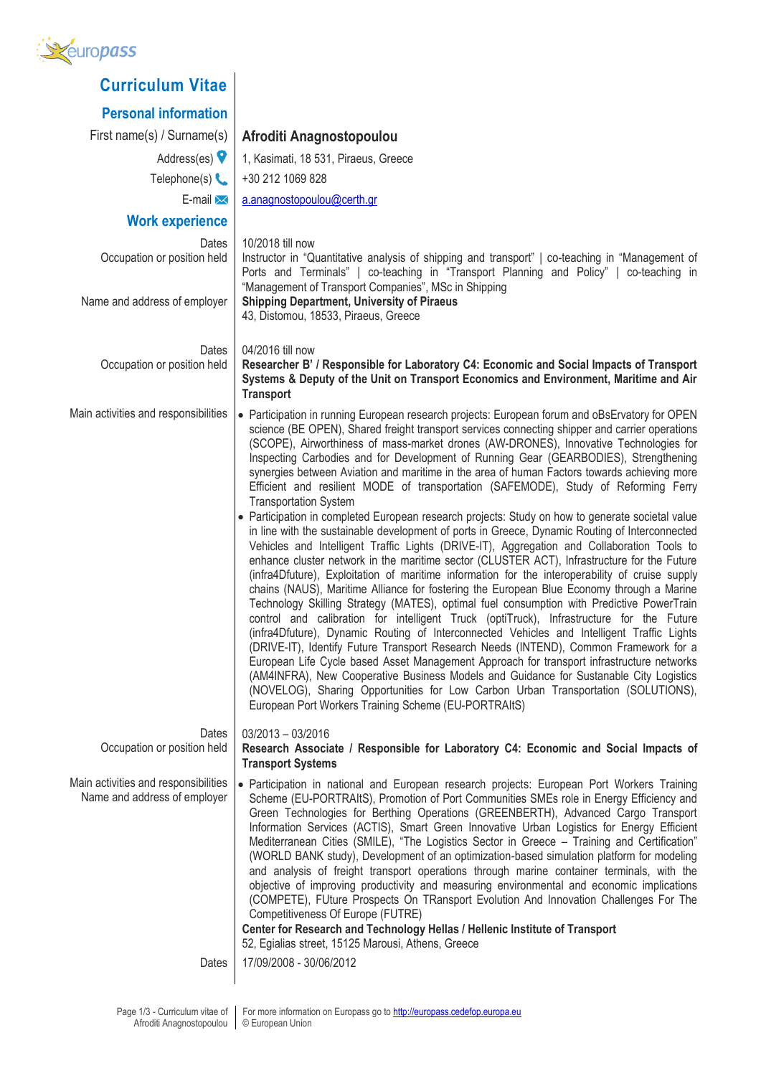

| <b>Personal information</b><br>First name(s) / Surname(s)<br>Afroditi Anagnostopoulou<br>Address(es) $\blacktriangledown$<br>1, Kasimati, 18 531, Piraeus, Greece<br>Telephone(s) $\mathbf{\mathbb{C}}$<br>+30 212 1069 828<br>E-mail $\bowtie$<br>a.anagnostopoulou@certh.gr<br><b>Work experience</b><br>10/2018 till now<br>Dates<br>Occupation or position held<br>Instructor in "Quantitative analysis of shipping and transport"   co-teaching in "Management of<br>Ports and Terminals"   co-teaching in "Transport Planning and Policy"   co-teaching in<br>"Management of Transport Companies", MSc in Shipping<br>Name and address of employer<br><b>Shipping Department, University of Piraeus</b><br>43, Distomou, 18533, Piraeus, Greece<br>04/2016 till now<br>Dates<br>Occupation or position held<br>Researcher B' / Responsible for Laboratory C4: Economic and Social Impacts of Transport<br>Systems & Deputy of the Unit on Transport Economics and Environment, Maritime and Air<br><b>Transport</b><br>Main activities and responsibilities<br>• Participation in running European research projects: European forum and oBsErvatory for OPEN<br>science (BE OPEN), Shared freight transport services connecting shipper and carrier operations<br>(SCOPE), Airworthiness of mass-market drones (AW-DRONES), Innovative Technologies for<br>Inspecting Carbodies and for Development of Running Gear (GEARBODIES), Strengthening<br>synergies between Aviation and maritime in the area of human Factors towards achieving more<br>Efficient and resilient MODE of transportation (SAFEMODE), Study of Reforming Ferry<br><b>Transportation System</b><br>• Participation in completed European research projects: Study on how to generate societal value<br>in line with the sustainable development of ports in Greece, Dynamic Routing of Interconnected<br>Vehicles and Intelligent Traffic Lights (DRIVE-IT), Aggregation and Collaboration Tools to<br>enhance cluster network in the maritime sector (CLUSTER ACT), Infrastructure for the Future<br>(infra4Dfuture), Exploitation of maritime information for the interoperability of cruise supply<br>chains (NAUS), Maritime Alliance for fostering the European Blue Economy through a Marine<br>Technology Skilling Strategy (MATES), optimal fuel consumption with Predictive PowerTrain<br>control and calibration for intelligent Truck (optiTruck), Infrastructure for the Future<br>(infra4Dfuture), Dynamic Routing of Interconnected Vehicles and Intelligent Traffic Lights<br>(DRIVE-IT), Identify Future Transport Research Needs (INTEND), Common Framework for a<br>European Life Cycle based Asset Management Approach for transport infrastructure networks<br>(AM4INFRA), New Cooperative Business Models and Guidance for Sustanable City Logistics<br>(NOVELOG), Sharing Opportunities for Low Carbon Urban Transportation (SOLUTIONS),<br>European Port Workers Training Scheme (EU-PORTRAItS)<br>Dates<br>$03/2013 - 03/2016$<br>Occupation or position held<br>Research Associate / Responsible for Laboratory C4: Economic and Social Impacts of<br><b>Transport Systems</b><br>Main activities and responsibilities<br>• Participation in national and European research projects: European Port Workers Training<br>Name and address of employer<br>Scheme (EU-PORTRAItS), Promotion of Port Communities SMEs role in Energy Efficiency and<br>Green Technologies for Berthing Operations (GREENBERTH), Advanced Cargo Transport<br>Information Services (ACTIS), Smart Green Innovative Urban Logistics for Energy Efficient<br>Mediterranean Cities (SMILE), "The Logistics Sector in Greece - Training and Certification"<br>(WORLD BANK study), Development of an optimization-based simulation platform for modeling<br>and analysis of freight transport operations through marine container terminals, with the<br>objective of improving productivity and measuring environmental and economic implications<br>(COMPETE), FUture Prospects On TRansport Evolution And Innovation Challenges For The<br>Competitiveness Of Europe (FUTRE)<br>Center for Research and Technology Hellas / Hellenic Institute of Transport<br>52, Egialias street, 15125 Marousi, Athens, Greece<br>17/09/2008 - 30/06/2012<br>Dates | Curriculum Vitae |  |
|-------------------------------------------------------------------------------------------------------------------------------------------------------------------------------------------------------------------------------------------------------------------------------------------------------------------------------------------------------------------------------------------------------------------------------------------------------------------------------------------------------------------------------------------------------------------------------------------------------------------------------------------------------------------------------------------------------------------------------------------------------------------------------------------------------------------------------------------------------------------------------------------------------------------------------------------------------------------------------------------------------------------------------------------------------------------------------------------------------------------------------------------------------------------------------------------------------------------------------------------------------------------------------------------------------------------------------------------------------------------------------------------------------------------------------------------------------------------------------------------------------------------------------------------------------------------------------------------------------------------------------------------------------------------------------------------------------------------------------------------------------------------------------------------------------------------------------------------------------------------------------------------------------------------------------------------------------------------------------------------------------------------------------------------------------------------------------------------------------------------------------------------------------------------------------------------------------------------------------------------------------------------------------------------------------------------------------------------------------------------------------------------------------------------------------------------------------------------------------------------------------------------------------------------------------------------------------------------------------------------------------------------------------------------------------------------------------------------------------------------------------------------------------------------------------------------------------------------------------------------------------------------------------------------------------------------------------------------------------------------------------------------------------------------------------------------------------------------------------------------------------------------------------------------------------------------------------------------------------------------------------------------------------------------------------------------------------------------------------------------------------------------------------------------------------------------------------------------------------------------------------------------------------------------------------------------------------------------------------------------------------------------------------------------------------------------------------------------------------------------------------------------------------------------------------------------------------------------------------------------------------------------------------------------------------------------------------------------------------------------------------------------------------------------------------------------------------------------------------------------------------------------------------------------------------------------------------------------------------------------------------------------------------------------------------------------------------------|------------------|--|
|                                                                                                                                                                                                                                                                                                                                                                                                                                                                                                                                                                                                                                                                                                                                                                                                                                                                                                                                                                                                                                                                                                                                                                                                                                                                                                                                                                                                                                                                                                                                                                                                                                                                                                                                                                                                                                                                                                                                                                                                                                                                                                                                                                                                                                                                                                                                                                                                                                                                                                                                                                                                                                                                                                                                                                                                                                                                                                                                                                                                                                                                                                                                                                                                                                                                                                                                                                                                                                                                                                                                                                                                                                                                                                                                                                                                                                                                                                                                                                                                                                                                                                                                                                                                                                                                                                                                     |                  |  |
|                                                                                                                                                                                                                                                                                                                                                                                                                                                                                                                                                                                                                                                                                                                                                                                                                                                                                                                                                                                                                                                                                                                                                                                                                                                                                                                                                                                                                                                                                                                                                                                                                                                                                                                                                                                                                                                                                                                                                                                                                                                                                                                                                                                                                                                                                                                                                                                                                                                                                                                                                                                                                                                                                                                                                                                                                                                                                                                                                                                                                                                                                                                                                                                                                                                                                                                                                                                                                                                                                                                                                                                                                                                                                                                                                                                                                                                                                                                                                                                                                                                                                                                                                                                                                                                                                                                                     |                  |  |
|                                                                                                                                                                                                                                                                                                                                                                                                                                                                                                                                                                                                                                                                                                                                                                                                                                                                                                                                                                                                                                                                                                                                                                                                                                                                                                                                                                                                                                                                                                                                                                                                                                                                                                                                                                                                                                                                                                                                                                                                                                                                                                                                                                                                                                                                                                                                                                                                                                                                                                                                                                                                                                                                                                                                                                                                                                                                                                                                                                                                                                                                                                                                                                                                                                                                                                                                                                                                                                                                                                                                                                                                                                                                                                                                                                                                                                                                                                                                                                                                                                                                                                                                                                                                                                                                                                                                     |                  |  |
|                                                                                                                                                                                                                                                                                                                                                                                                                                                                                                                                                                                                                                                                                                                                                                                                                                                                                                                                                                                                                                                                                                                                                                                                                                                                                                                                                                                                                                                                                                                                                                                                                                                                                                                                                                                                                                                                                                                                                                                                                                                                                                                                                                                                                                                                                                                                                                                                                                                                                                                                                                                                                                                                                                                                                                                                                                                                                                                                                                                                                                                                                                                                                                                                                                                                                                                                                                                                                                                                                                                                                                                                                                                                                                                                                                                                                                                                                                                                                                                                                                                                                                                                                                                                                                                                                                                                     |                  |  |
|                                                                                                                                                                                                                                                                                                                                                                                                                                                                                                                                                                                                                                                                                                                                                                                                                                                                                                                                                                                                                                                                                                                                                                                                                                                                                                                                                                                                                                                                                                                                                                                                                                                                                                                                                                                                                                                                                                                                                                                                                                                                                                                                                                                                                                                                                                                                                                                                                                                                                                                                                                                                                                                                                                                                                                                                                                                                                                                                                                                                                                                                                                                                                                                                                                                                                                                                                                                                                                                                                                                                                                                                                                                                                                                                                                                                                                                                                                                                                                                                                                                                                                                                                                                                                                                                                                                                     |                  |  |
|                                                                                                                                                                                                                                                                                                                                                                                                                                                                                                                                                                                                                                                                                                                                                                                                                                                                                                                                                                                                                                                                                                                                                                                                                                                                                                                                                                                                                                                                                                                                                                                                                                                                                                                                                                                                                                                                                                                                                                                                                                                                                                                                                                                                                                                                                                                                                                                                                                                                                                                                                                                                                                                                                                                                                                                                                                                                                                                                                                                                                                                                                                                                                                                                                                                                                                                                                                                                                                                                                                                                                                                                                                                                                                                                                                                                                                                                                                                                                                                                                                                                                                                                                                                                                                                                                                                                     |                  |  |
|                                                                                                                                                                                                                                                                                                                                                                                                                                                                                                                                                                                                                                                                                                                                                                                                                                                                                                                                                                                                                                                                                                                                                                                                                                                                                                                                                                                                                                                                                                                                                                                                                                                                                                                                                                                                                                                                                                                                                                                                                                                                                                                                                                                                                                                                                                                                                                                                                                                                                                                                                                                                                                                                                                                                                                                                                                                                                                                                                                                                                                                                                                                                                                                                                                                                                                                                                                                                                                                                                                                                                                                                                                                                                                                                                                                                                                                                                                                                                                                                                                                                                                                                                                                                                                                                                                                                     |                  |  |
|                                                                                                                                                                                                                                                                                                                                                                                                                                                                                                                                                                                                                                                                                                                                                                                                                                                                                                                                                                                                                                                                                                                                                                                                                                                                                                                                                                                                                                                                                                                                                                                                                                                                                                                                                                                                                                                                                                                                                                                                                                                                                                                                                                                                                                                                                                                                                                                                                                                                                                                                                                                                                                                                                                                                                                                                                                                                                                                                                                                                                                                                                                                                                                                                                                                                                                                                                                                                                                                                                                                                                                                                                                                                                                                                                                                                                                                                                                                                                                                                                                                                                                                                                                                                                                                                                                                                     |                  |  |
|                                                                                                                                                                                                                                                                                                                                                                                                                                                                                                                                                                                                                                                                                                                                                                                                                                                                                                                                                                                                                                                                                                                                                                                                                                                                                                                                                                                                                                                                                                                                                                                                                                                                                                                                                                                                                                                                                                                                                                                                                                                                                                                                                                                                                                                                                                                                                                                                                                                                                                                                                                                                                                                                                                                                                                                                                                                                                                                                                                                                                                                                                                                                                                                                                                                                                                                                                                                                                                                                                                                                                                                                                                                                                                                                                                                                                                                                                                                                                                                                                                                                                                                                                                                                                                                                                                                                     |                  |  |
|                                                                                                                                                                                                                                                                                                                                                                                                                                                                                                                                                                                                                                                                                                                                                                                                                                                                                                                                                                                                                                                                                                                                                                                                                                                                                                                                                                                                                                                                                                                                                                                                                                                                                                                                                                                                                                                                                                                                                                                                                                                                                                                                                                                                                                                                                                                                                                                                                                                                                                                                                                                                                                                                                                                                                                                                                                                                                                                                                                                                                                                                                                                                                                                                                                                                                                                                                                                                                                                                                                                                                                                                                                                                                                                                                                                                                                                                                                                                                                                                                                                                                                                                                                                                                                                                                                                                     |                  |  |
|                                                                                                                                                                                                                                                                                                                                                                                                                                                                                                                                                                                                                                                                                                                                                                                                                                                                                                                                                                                                                                                                                                                                                                                                                                                                                                                                                                                                                                                                                                                                                                                                                                                                                                                                                                                                                                                                                                                                                                                                                                                                                                                                                                                                                                                                                                                                                                                                                                                                                                                                                                                                                                                                                                                                                                                                                                                                                                                                                                                                                                                                                                                                                                                                                                                                                                                                                                                                                                                                                                                                                                                                                                                                                                                                                                                                                                                                                                                                                                                                                                                                                                                                                                                                                                                                                                                                     |                  |  |
|                                                                                                                                                                                                                                                                                                                                                                                                                                                                                                                                                                                                                                                                                                                                                                                                                                                                                                                                                                                                                                                                                                                                                                                                                                                                                                                                                                                                                                                                                                                                                                                                                                                                                                                                                                                                                                                                                                                                                                                                                                                                                                                                                                                                                                                                                                                                                                                                                                                                                                                                                                                                                                                                                                                                                                                                                                                                                                                                                                                                                                                                                                                                                                                                                                                                                                                                                                                                                                                                                                                                                                                                                                                                                                                                                                                                                                                                                                                                                                                                                                                                                                                                                                                                                                                                                                                                     |                  |  |
|                                                                                                                                                                                                                                                                                                                                                                                                                                                                                                                                                                                                                                                                                                                                                                                                                                                                                                                                                                                                                                                                                                                                                                                                                                                                                                                                                                                                                                                                                                                                                                                                                                                                                                                                                                                                                                                                                                                                                                                                                                                                                                                                                                                                                                                                                                                                                                                                                                                                                                                                                                                                                                                                                                                                                                                                                                                                                                                                                                                                                                                                                                                                                                                                                                                                                                                                                                                                                                                                                                                                                                                                                                                                                                                                                                                                                                                                                                                                                                                                                                                                                                                                                                                                                                                                                                                                     |                  |  |
|                                                                                                                                                                                                                                                                                                                                                                                                                                                                                                                                                                                                                                                                                                                                                                                                                                                                                                                                                                                                                                                                                                                                                                                                                                                                                                                                                                                                                                                                                                                                                                                                                                                                                                                                                                                                                                                                                                                                                                                                                                                                                                                                                                                                                                                                                                                                                                                                                                                                                                                                                                                                                                                                                                                                                                                                                                                                                                                                                                                                                                                                                                                                                                                                                                                                                                                                                                                                                                                                                                                                                                                                                                                                                                                                                                                                                                                                                                                                                                                                                                                                                                                                                                                                                                                                                                                                     |                  |  |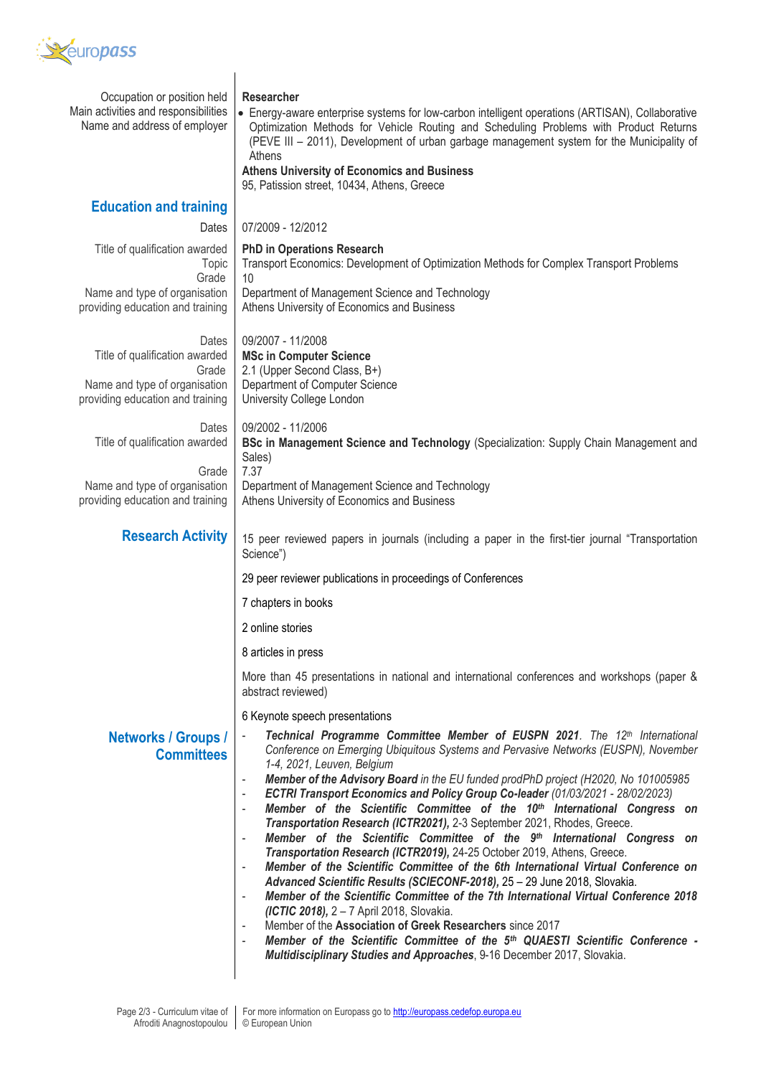

| Occupation or position held<br>Main activities and responsibilities<br>Name and address of employer                   | Researcher<br>• Energy-aware enterprise systems for low-carbon intelligent operations (ARTISAN), Collaborative<br>Optimization Methods for Vehicle Routing and Scheduling Problems with Product Returns<br>(PEVE III - 2011), Development of urban garbage management system for the Municipality of<br>Athens<br><b>Athens University of Economics and Business</b><br>95, Patission street, 10434, Athens, Greece                                                                                                                                                                                                                                                                                                                                                                                                                                                                                                                                                                                                                                                                                                                                                                                                                                                                                                                                                                                                |
|-----------------------------------------------------------------------------------------------------------------------|--------------------------------------------------------------------------------------------------------------------------------------------------------------------------------------------------------------------------------------------------------------------------------------------------------------------------------------------------------------------------------------------------------------------------------------------------------------------------------------------------------------------------------------------------------------------------------------------------------------------------------------------------------------------------------------------------------------------------------------------------------------------------------------------------------------------------------------------------------------------------------------------------------------------------------------------------------------------------------------------------------------------------------------------------------------------------------------------------------------------------------------------------------------------------------------------------------------------------------------------------------------------------------------------------------------------------------------------------------------------------------------------------------------------|
| <b>Education and training</b>                                                                                         |                                                                                                                                                                                                                                                                                                                                                                                                                                                                                                                                                                                                                                                                                                                                                                                                                                                                                                                                                                                                                                                                                                                                                                                                                                                                                                                                                                                                                    |
| Dates                                                                                                                 | 07/2009 - 12/2012                                                                                                                                                                                                                                                                                                                                                                                                                                                                                                                                                                                                                                                                                                                                                                                                                                                                                                                                                                                                                                                                                                                                                                                                                                                                                                                                                                                                  |
| Title of qualification awarded<br><b>Topic</b><br>Grade<br>Name and type of organisation                              | <b>PhD in Operations Research</b><br>Transport Economics: Development of Optimization Methods for Complex Transport Problems<br>10<br>Department of Management Science and Technology                                                                                                                                                                                                                                                                                                                                                                                                                                                                                                                                                                                                                                                                                                                                                                                                                                                                                                                                                                                                                                                                                                                                                                                                                              |
| providing education and training                                                                                      | Athens University of Economics and Business                                                                                                                                                                                                                                                                                                                                                                                                                                                                                                                                                                                                                                                                                                                                                                                                                                                                                                                                                                                                                                                                                                                                                                                                                                                                                                                                                                        |
| Dates<br>Title of qualification awarded<br>Grade<br>Name and type of organisation<br>providing education and training | 09/2007 - 11/2008<br><b>MSc in Computer Science</b><br>2.1 (Upper Second Class, B+)<br>Department of Computer Science<br>University College London                                                                                                                                                                                                                                                                                                                                                                                                                                                                                                                                                                                                                                                                                                                                                                                                                                                                                                                                                                                                                                                                                                                                                                                                                                                                 |
| Dates<br>Title of qualification awarded                                                                               | 09/2002 - 11/2006<br>BSc in Management Science and Technology (Specialization: Supply Chain Management and<br>Sales)                                                                                                                                                                                                                                                                                                                                                                                                                                                                                                                                                                                                                                                                                                                                                                                                                                                                                                                                                                                                                                                                                                                                                                                                                                                                                               |
| Grade<br>Name and type of organisation<br>providing education and training                                            | 7.37<br>Department of Management Science and Technology<br>Athens University of Economics and Business                                                                                                                                                                                                                                                                                                                                                                                                                                                                                                                                                                                                                                                                                                                                                                                                                                                                                                                                                                                                                                                                                                                                                                                                                                                                                                             |
| <b>Research Activity</b>                                                                                              | 15 peer reviewed papers in journals (including a paper in the first-tier journal "Transportation<br>Science")                                                                                                                                                                                                                                                                                                                                                                                                                                                                                                                                                                                                                                                                                                                                                                                                                                                                                                                                                                                                                                                                                                                                                                                                                                                                                                      |
|                                                                                                                       | 29 peer reviewer publications in proceedings of Conferences                                                                                                                                                                                                                                                                                                                                                                                                                                                                                                                                                                                                                                                                                                                                                                                                                                                                                                                                                                                                                                                                                                                                                                                                                                                                                                                                                        |
|                                                                                                                       | 7 chapters in books                                                                                                                                                                                                                                                                                                                                                                                                                                                                                                                                                                                                                                                                                                                                                                                                                                                                                                                                                                                                                                                                                                                                                                                                                                                                                                                                                                                                |
|                                                                                                                       | 2 online stories                                                                                                                                                                                                                                                                                                                                                                                                                                                                                                                                                                                                                                                                                                                                                                                                                                                                                                                                                                                                                                                                                                                                                                                                                                                                                                                                                                                                   |
|                                                                                                                       | 8 articles in press                                                                                                                                                                                                                                                                                                                                                                                                                                                                                                                                                                                                                                                                                                                                                                                                                                                                                                                                                                                                                                                                                                                                                                                                                                                                                                                                                                                                |
|                                                                                                                       | More than 45 presentations in national and international conferences and workshops (paper &<br>abstract reviewed)                                                                                                                                                                                                                                                                                                                                                                                                                                                                                                                                                                                                                                                                                                                                                                                                                                                                                                                                                                                                                                                                                                                                                                                                                                                                                                  |
|                                                                                                                       | 6 Keynote speech presentations                                                                                                                                                                                                                                                                                                                                                                                                                                                                                                                                                                                                                                                                                                                                                                                                                                                                                                                                                                                                                                                                                                                                                                                                                                                                                                                                                                                     |
| <b>Networks / Groups /</b><br><b>Committees</b>                                                                       | Technical Programme Committee Member of EUSPN 2021. The 12 <sup>th</sup> International<br>Conference on Emerging Ubiquitous Systems and Pervasive Networks (EUSPN), November<br>1-4, 2021, Leuven, Belgium<br>Member of the Advisory Board in the EU funded prodPhD project (H2020, No 101005985<br>$\overline{\phantom{a}}$<br>ECTRI Transport Economics and Policy Group Co-leader (01/03/2021 - 28/02/2023)<br>$\overline{\phantom{a}}$<br>Member of the Scientific Committee of the 10 <sup>th</sup> International Congress on<br>$\overline{\phantom{a}}$<br>Transportation Research (ICTR2021), 2-3 September 2021, Rhodes, Greece.<br>Member of the Scientific Committee of the 9th International Congress on<br>$\overline{\phantom{a}}$<br>Transportation Research (ICTR2019), 24-25 October 2019, Athens, Greece.<br>Member of the Scientific Committee of the 6th International Virtual Conference on<br>Advanced Scientific Results (SCIECONF-2018), 25 - 29 June 2018, Slovakia.<br>Member of the Scientific Committee of the 7th International Virtual Conference 2018<br>(ICTIC 2018), 2 - 7 April 2018, Slovakia.<br>Member of the Association of Greek Researchers since 2017<br>$\overline{\phantom{a}}$<br>Member of the Scientific Committee of the 5th QUAESTI Scientific Conference -<br>$\overline{\phantom{a}}$<br>Multidisciplinary Studies and Approaches, 9-16 December 2017, Slovakia. |